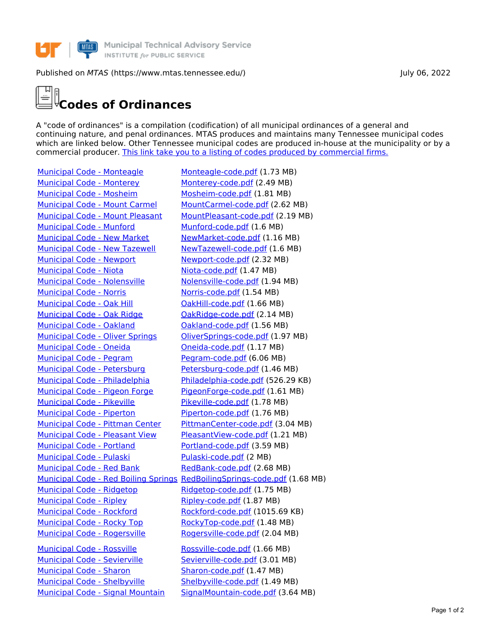

## Published on *MTAS* (https://www.mtas.tennessee.edu/) July 06, 2022

## **Codes of Ordinances**

A "code of ordinances" is a compilation (codification) of all municipal ordinances of a general and continuing nature, and penal ordinances. MTAS produces and maintains many Tennessee municipal codes which are linked below. Other Tennessee municipal codes are produced in-house at the municipality or by a commercial producer. This link take you to a listing of codes produced by [commercial](https://www.mtas.tennessee.edu/codes-not-produced-mtas) firms.

Municipal Code - [Monteagle](https://www.mtas.tennessee.edu/code/municipal-code-monteagle) [Monteagle-code.pdf](https://www.mtas.tennessee.edu/system/files/codes/combined/Monteagle-code.pdf) (1.73 MB) [Municipal](https://www.mtas.tennessee.edu/code/municipal-code-monterey) Code - Monterey [Monterey-code.pdf](https://www.mtas.tennessee.edu/system/files/codes/combined/Monterey-code.pdf) (2.49 MB) [Municipal](https://www.mtas.tennessee.edu/code/municipal-code-mosheim) Code - Mosheim [Mosheim-code.pdf](https://www.mtas.tennessee.edu/system/files/codes/combined/Mosheim-code.pdf) (1.81 MB) [Municipal](https://www.mtas.tennessee.edu/code/municipal-code-mount-carmel) Code - Mount Carmel [MountCarmel-code.pdf](https://www.mtas.tennessee.edu/system/files/codes/combined/MountCarmel-code.pdf) (2.62 MB) [Municipal](https://www.mtas.tennessee.edu/code/municipal-code-mount-pleasant) Code - Mount Pleasant [MountPleasant-code.pdf](https://www.mtas.tennessee.edu/system/files/codes/combined/MountPleasant-code.pdf) (2.19 MB) [Municipal](https://www.mtas.tennessee.edu/code/municipal-code-munford) Code - Munford [Munford-code.pdf](https://www.mtas.tennessee.edu/system/files/codes/combined/Munford-code.pdf) (1.6 MB) [Municipal](https://www.mtas.tennessee.edu/code/municipal-code-new-market) Code - New Market [NewMarket-code.pdf](https://www.mtas.tennessee.edu/system/files/codes/combined/NewMarket-code.pdf) (1.16 MB) [Municipal](https://www.mtas.tennessee.edu/code/municipal-code-new-tazewell) Code - New Tazewell [NewTazewell-code.pdf](https://www.mtas.tennessee.edu/system/files/codes/combined/NewTazewell-code.pdf) (1.6 MB) [Municipal](https://www.mtas.tennessee.edu/code/municipal-code-newport) Code - Newport Mewport-code.pdf (2.32 MB) [Municipal](https://www.mtas.tennessee.edu/code/municipal-code-niota) Code - Niota [Niota-code.pdf](https://www.mtas.tennessee.edu/system/files/codes/combined/Niota-code.pdf) (1.47 MB) Municipal Code - [Nolensville](https://www.mtas.tennessee.edu/code/municipal-code-nolensville) Molensville-code.pdf (1.94 MB) [Municipal](https://www.mtas.tennessee.edu/code/municipal-code-norris) Code - Norris [Norris-code.pdf](https://www.mtas.tennessee.edu/system/files/codes/combined/Norris-code.pdf) (1.54 MB) [Municipal](https://www.mtas.tennessee.edu/code/municipal-code-oak-hill) Code - Oak Hill **Collact Concept Control** [OakHill-code.pdf](https://www.mtas.tennessee.edu/system/files/codes/combined/OakHill-code.pdf) (1.66 MB) [Municipal](https://www.mtas.tennessee.edu/code/municipal-code-oak-ridge) Code - Oak Ridge **[OakRidge-code.pdf](https://www.mtas.tennessee.edu/system/files/codes/combined/OakRidge-code.pdf) (2.14 MB)** [Municipal](https://www.mtas.tennessee.edu/code/municipal-code-oakland) Code - Oakland Coakland Code.pdf (1.56 MB) [Municipal](https://www.mtas.tennessee.edu/code/municipal-code-oliver-springs) Code - Oliver Springs [OliverSprings-code.pdf](https://www.mtas.tennessee.edu/system/files/codes/combined/OliverSprings-code.pdf) (1.97 MB) [Municipal](https://www.mtas.tennessee.edu/code/municipal-code-oneida) Code - Oneida **Collaction Coneida-code.pdf** (1.17 MB) [Municipal](https://www.mtas.tennessee.edu/code/municipal-code-pegram) Code - Pegram [Pegram-code.pdf](https://www.mtas.tennessee.edu/system/files/codes/combined/Pegram-code.pdf) (6.06 MB) Municipal Code - [Petersburg](https://www.mtas.tennessee.edu/code/municipal-code-petersburg) [Petersburg-code.pdf](https://www.mtas.tennessee.edu/system/files/codes/combined/Petersburg-code.pdf) (1.46 MB) Municipal Code - [Philadelphia](https://www.mtas.tennessee.edu/code/municipal-code-philadelphia) [Philadelphia-code.pdf](https://www.mtas.tennessee.edu/system/files/codes/combined/Philadelphia-code.pdf) (526.29 KB) [Municipal](https://www.mtas.tennessee.edu/code/municipal-code-pigeon-forge) Code - Pigeon Forge [PigeonForge-code.pdf](https://www.mtas.tennessee.edu/system/files/codes/combined/PigeonForge-code.pdf) (1.61 MB) [Municipal](https://www.mtas.tennessee.edu/code/municipal-code-pikeville) Code - Pikeville [Pikeville-code.pdf](https://www.mtas.tennessee.edu/system/files/codes/combined/Pikeville-code.pdf) (1.78 MB) [Municipal](https://www.mtas.tennessee.edu/code/municipal-code-piperton) Code - Piperton [Piperton-code.pdf](https://www.mtas.tennessee.edu/system/files/codes/combined/Piperton-code.pdf) (1.76 MB) [Municipal](https://www.mtas.tennessee.edu/code/municipal-code-pittman-center) Code - Pittman Center [PittmanCenter-code.pdf](https://www.mtas.tennessee.edu/system/files/codes/combined/PittmanCenter-code.pdf) (3.04 MB) [Municipal](https://www.mtas.tennessee.edu/code/municipal-code-pleasant-view) Code - Pleasant View Pleasant View-code.pdf (1.21 MB) [Municipal](https://www.mtas.tennessee.edu/code/municipal-code-portland) Code - Portland [Portland-code.pdf](https://www.mtas.tennessee.edu/system/files/codes/combined/Portland-code.pdf) (3.59 MB) [Municipal](https://www.mtas.tennessee.edu/code/municipal-code-pulaski) Code - Pulaski [Pulaski-code.pdf](https://www.mtas.tennessee.edu/system/files/codes/combined/Pulaski-code.pdf) (2 MB) [Municipal](https://www.mtas.tennessee.edu/code/municipal-code-red-bank) Code - Red Bank [RedBank-code.pdf](https://www.mtas.tennessee.edu/system/files/codes/combined/RedBank-code.pdf) (2.68 MB) [Municipal](https://www.mtas.tennessee.edu/code/municipal-code-ridgetop) Code - Ridgetop Municipal Code - Ridgetop [Ridgetop-code.pdf](https://www.mtas.tennessee.edu/system/files/codes/combined/Ridgetop-code.pdf) (1.75 MB) [Municipal](https://www.mtas.tennessee.edu/code/municipal-code-ripley) Code - Ripley Municipal Code - Ripley [Ripley-code.pdf](https://www.mtas.tennessee.edu/system/files/codes/combined/Ripley-code.pdf) (1.87 MB) [Municipal](https://www.mtas.tennessee.edu/code/municipal-code-rockford) Code - Rockford [Rockford-code.pdf](https://www.mtas.tennessee.edu/system/files/codes/combined/Rockford-code.pdf) (1015.69 KB) [Municipal](https://www.mtas.tennessee.edu/code/municipal-code-rocky-top) Code - Rocky Top [RockyTop-code.pdf](https://www.mtas.tennessee.edu/system/files/codes/combined/RockyTop-code.pdf) (1.48 MB) Municipal Code - [Rogersville](https://www.mtas.tennessee.edu/code/municipal-code-rogersville) [Rogersville-code.pdf](https://www.mtas.tennessee.edu/system/files/codes/combined/Rogersville-code.pdf) (2.04 MB) [Municipal](https://www.mtas.tennessee.edu/code/municipal-code-rossville) Code - Rossville [Rossville-code.pdf](https://www.mtas.tennessee.edu/system/files/codes/combined/Rossville-code.pdf) (1.66 MB) Municipal Code - [Sevierville](https://www.mtas.tennessee.edu/code/municipal-code-sevierville) [Sevierville-code.pdf](https://www.mtas.tennessee.edu/system/files/codes/combined/Sevierville-code.pdf) (3.01 MB) [Municipal](https://www.mtas.tennessee.edu/code/municipal-code-sharon) Code - Sharon [Sharon-code.pdf](https://www.mtas.tennessee.edu/system/files/codes/combined/Sharon-code.pdf) (1.47 MB) Municipal Code - [Shelbyville](https://www.mtas.tennessee.edu/code/municipal-code-shelbyville) [Shelbyville-code.pdf](https://www.mtas.tennessee.edu/system/files/codes/combined/Shelbyville-code.pdf) (1.49 MB) [Municipal](https://www.mtas.tennessee.edu/code/municipal-code-signal-mountain) Code - Signal Mountain [SignalMountain-code.pdf](https://www.mtas.tennessee.edu/system/files/codes/combined/SignalMountain-code.pdf) (3.64 MB)

[Municipal](https://www.mtas.tennessee.edu/code/municipal-code-red-boiling-springs) Code - Red Boiling Springs [RedBoilingSprings-code.pdf](https://www.mtas.tennessee.edu/system/files/codes/combined/RedBoilingSprings-code.pdf) (1.68 MB)